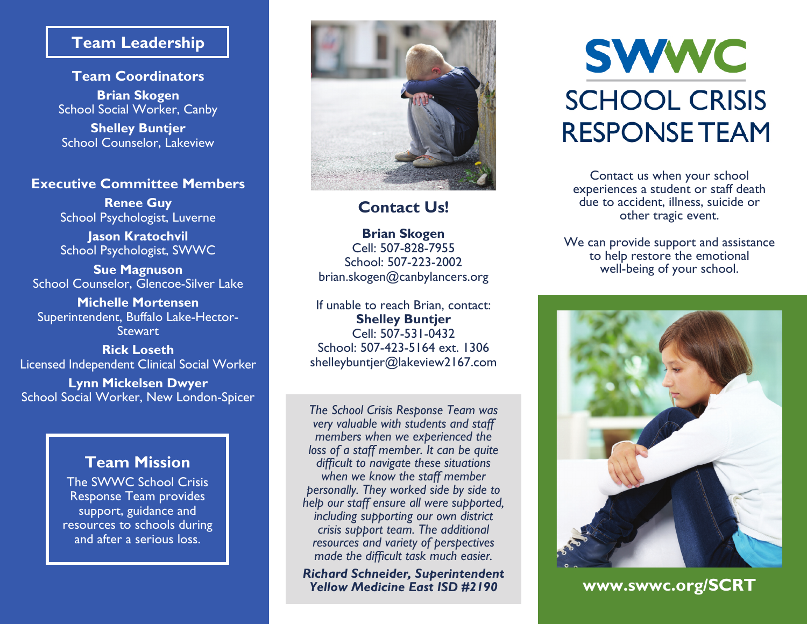## **Team Leadership**

**Team Coordinators Brian Skogen** School Social Worker, Canby

**Shelley Buntjer** School Counselor, Lakeview

### **Executive Committee Members**

**Renee Guy** School Psychologist, Luverne

**Jason Kratochvil** School Psychologist, SWWC

**Sue Magnuson** School Counselor, Glencoe-Silver Lake

**Michelle Mortensen** Superintendent, Buffalo Lake-Hector-Stewart

**Rick Loseth** Licensed Independent Clinical Social Worker

**Lynn Mickelsen Dwyer** School Social Worker, New London-Spicer

## **Team Mission**

The SWWC School Crisis Response Team provides support, guidance and resources to schools during and after a serious loss.



# **Contact Us!**

**Brian Skogen** Cell: 507-828-7955 School: 507-223-2002 brian.skogen@canbylancers.org

If unable to reach Brian, contact: **Shelley Buntjer** Cell: 507-531-0432 School: 507-423-5164 ext. 1306 shelleybuntjer@lakeview2167.com

*The School Crisis Response Team was very valuable with students and staff members when we experienced the loss of a staff member. It can be quite difficult to navigate these situations when we know the staff member personally. They worked side by side to help our staff ensure all were supported, including supporting our own district crisis support team. The additional resources and variety of perspectives made the difficult task much easier.* 

*Richard Schneider, Superintendent Yellow Medicine East ISD #2190*

# **SWWC SCHOOL CRISIS RESPONSE TEAM**

Contact us when your school experiences a student or staff death due to accident, illness, suicide or other tragic event.

We can provide support and assistance to help restore the emotional well-being of your school.



**www.swwc.org/SCRT**